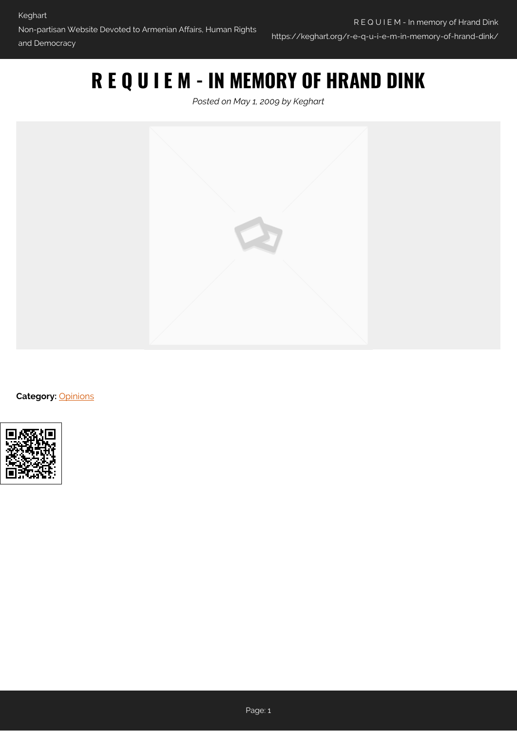## **R E Q U I E M - IN MEMORY OF HRAND DINK**

*Posted on May 1, 2009 by Keghart*



**Category: [Opinions](https://keghart.org/category/opinions/)** 

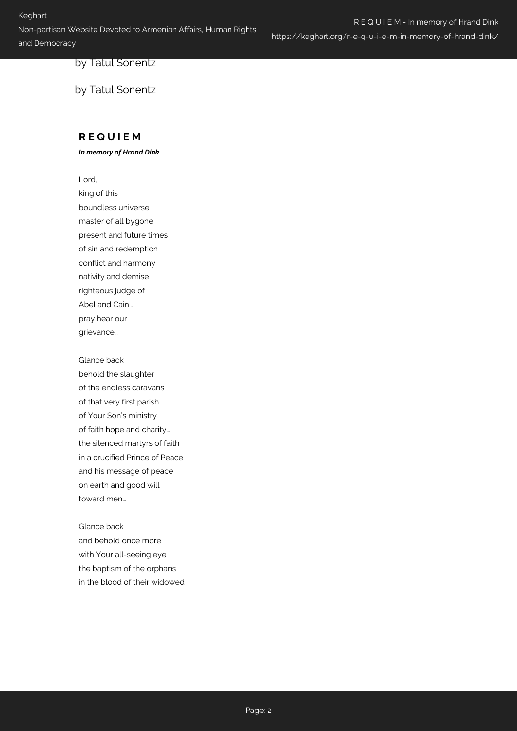R E Q U I E M - In memory of Hrand Dink https://keghart.org/r-e-q-u-i-e-m-in-memory-of-hrand-dink/

by Tatul Sonentz

by Tatul Sonentz

## **R E Q U I E M**

*In memory of Hrand Dink*

Lord,

king of this boundless universe master of all bygone present and future times of sin and redemption conflict and harmony nativity and demise righteous judge of Abel and Cain… pray hear our grievance…

Glance back behold the slaughter of the endless caravans of that very first parish of Your Son's ministry of faith hope and charity… the silenced martyrs of faith in a crucified Prince of Peace and his message of peace on earth and good will toward men…

Glance back and behold once more with Your all-seeing eye the baptism of the orphans in the blood of their widowed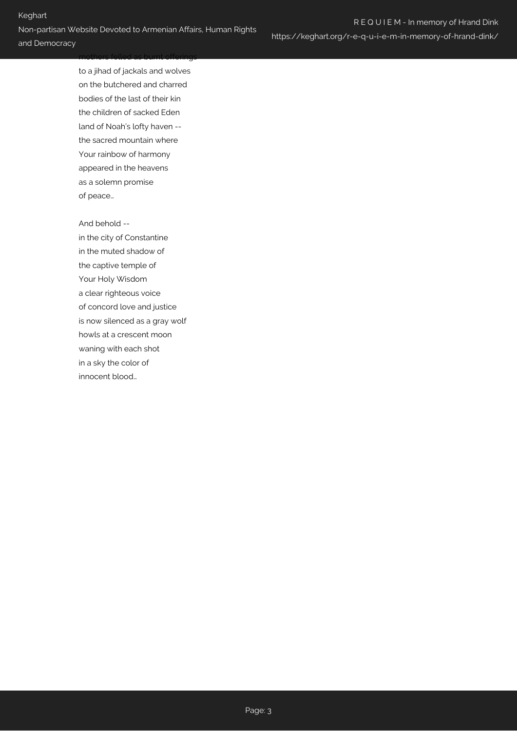mothers felled as burnt offerings

to a jihad of jackals and wolves on the butchered and charred bodies of the last of their kin the children of sacked Eden land of Noah's lofty haven - the sacred mountain where Your rainbow of harmony appeared in the heavens as a solemn promise of peace…

And behold --

in the city of Constantine in the muted shadow of the captive temple of Your Holy Wisdom a clear righteous voice of concord love and justice is now silenced as a gray wolf howls at a crescent moon waning with each shot in a sky the color of innocent blood…